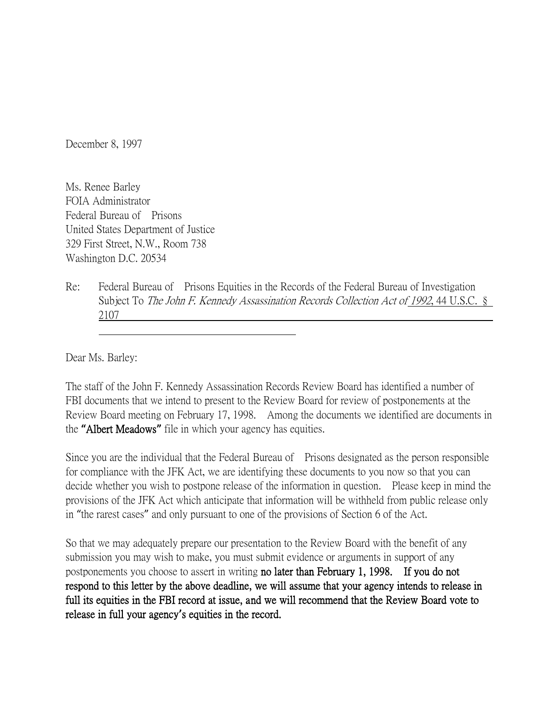December 8, 1997

Ms. Renee Barley FOIA Administrator Federal Bureau of Prisons United States Department of Justice 329 First Street, N.W., Room 738 Washington D.C. 20534

Re: Federal Bureau of Prisons Equities in the Records of the Federal Bureau of Investigation Subject To The John F. Kennedy Assassination Records Collection Act of 1992, 44 U.S.C. § 2107

Dear Ms. Barley:

The staff of the John F. Kennedy Assassination Records Review Board has identified a number of FBI documents that we intend to present to the Review Board for review of postponements at the Review Board meeting on February 17, 1998. Among the documents we identified are documents in the **"**Albert Meadows**"** file in which your agency has equities.

Since you are the individual that the Federal Bureau of Prisons designated as the person responsible for compliance with the JFK Act, we are identifying these documents to you now so that you can decide whether you wish to postpone release of the information in question. Please keep in mind the provisions of the JFK Act which anticipate that information will be withheld from public release only in "the rarest cases" and only pursuant to one of the provisions of Section 6 of the Act.

So that we may adequately prepare our presentation to the Review Board with the benefit of any submission you may wish to make, you must submit evidence or arguments in support of any postponements you choose to assert in writing no later than February 1, 1998. If you do not respond to this letter by the above deadline, we will assume that your agency intends to release in full its equities in the FBI record at issue, and we will recommend that the Review Board vote to release in full your agency**'**s equities in the record.